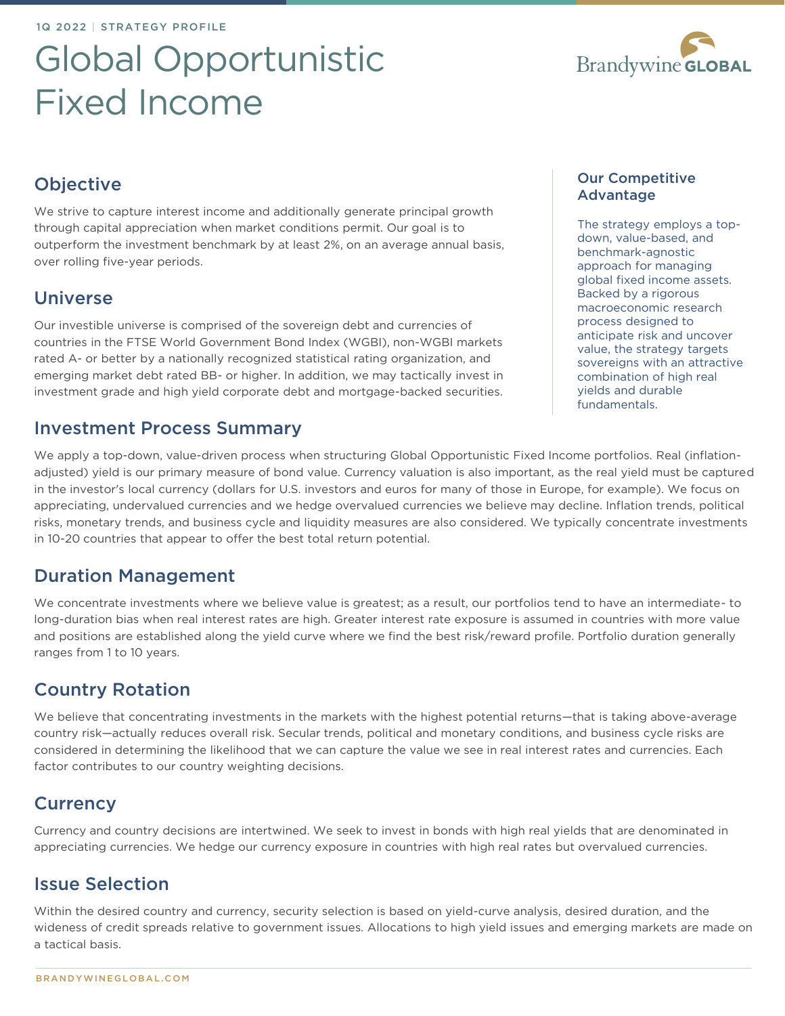# Global Opportunistic Fixed Income



# **Objective**

We strive to capture interest income and additionally generate principal growth through capital appreciation when market conditions permit. Our goal is to outperform the investment benchmark by at least 2%, on an average annual basis, over rolling five-year periods.

## Universe

Our investible universe is comprised of the sovereign debt and currencies of countries in the FTSE World Government Bond Index (WGBI), non-WGBI markets rated A- or better by a nationally recognized statistical rating organization, and emerging market debt rated BB- or higher. In addition, we may tactically invest in investment grade and high yield corporate debt and mortgage-backed securities.

## Investment Process Summary

We apply a top-down, value-driven process when structuring Global Opportunistic Fixed Income portfolios. Real (inflationadjusted) yield is our primary measure of bond value. Currency valuation is also important, as the real yield must be captured in the investor's local currency (dollars for U.S. investors and euros for many of those in Europe, for example). We focus on appreciating, undervalued currencies and we hedge overvalued currencies we believe may decline. Inflation trends, political risks, monetary trends, and business cycle and liquidity measures are also considered. We typically concentrate investments in 10-20 countries that appear to offer the best total return potential.

# Duration Management

We concentrate investments where we believe value is greatest; as a result, our portfolios tend to have an intermediate- to long-duration bias when real interest rates are high. Greater interest rate exposure is assumed in countries with more value and positions are established along the yield curve where we find the best risk/reward profile. Portfolio duration generally ranges from 1 to 10 years.

# Country Rotation

We believe that concentrating investments in the markets with the highest potential returns—that is taking above-average country risk—actually reduces overall risk. Secular trends, political and monetary conditions, and business cycle risks are considered in determining the likelihood that we can capture the value we see in real interest rates and currencies. Each factor contributes to our country weighting decisions.

# **Currency**

Currency and country decisions are intertwined. We seek to invest in bonds with high real yields that are denominated in appreciating currencies. We hedge our currency exposure in countries with high real rates but overvalued currencies.

# Issue Selection

Within the desired country and currency, security selection is based on yield-curve analysis, desired duration, and the wideness of credit spreads relative to government issues. Allocations to high yield issues and emerging markets are made on a tactical basis.

The strategy employs a topdown, value-based, and benchmark-agnostic approach for managing global fixed income assets. Backed by a rigorous macroeconomic research process designed to anticipate risk and uncover value, the strategy targets sovereigns with an attractive combination of high real yields and durable fundamentals.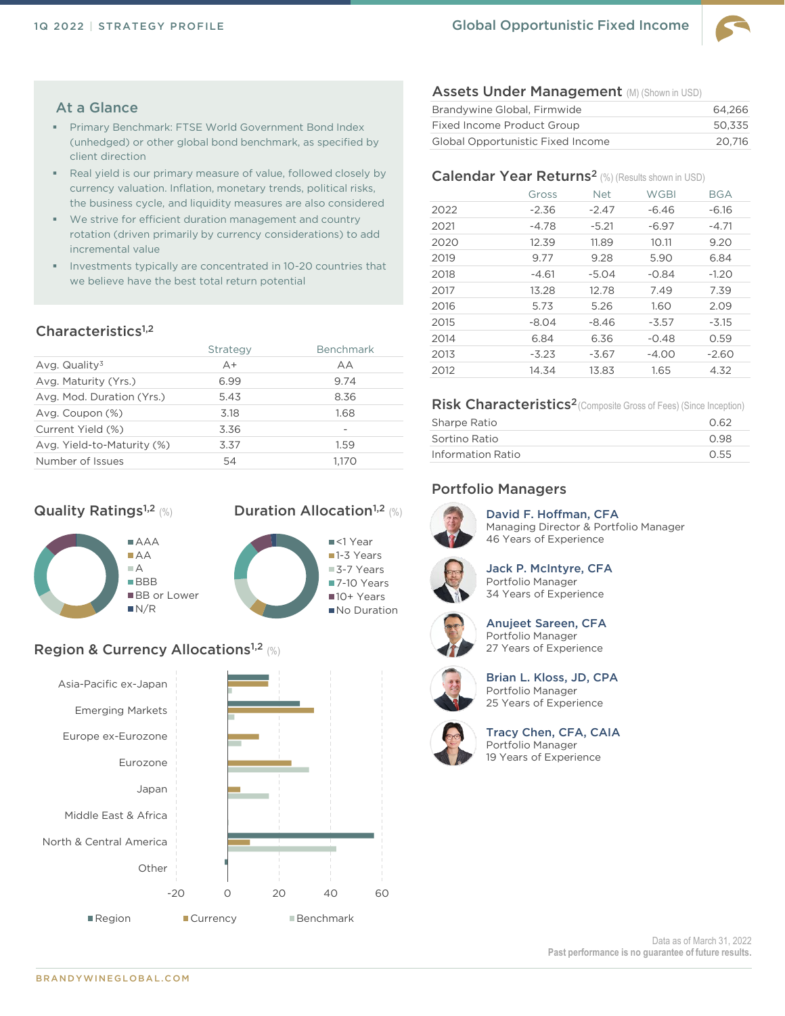

#### At a Glance

- Primary Benchmark: FTSE World Government Bond Index (unhedged) or other global bond benchmark, as specified by client direction
- Real yield is our primary measure of value, followed closely by currency valuation. Inflation, monetary trends, political risks, the business cycle, and liquidity measures are also considered
- We strive for efficient duration management and country rotation (driven primarily by currency considerations) to add incremental value
- Investments typically are concentrated in 10-20 countries that we believe have the best total return potential

#### Characteristics<sup>1,2</sup>

|                            | Strategy | <b>Benchmark</b> |
|----------------------------|----------|------------------|
| Avg. Quality $3$           | $A+$     | AA               |
| Avg. Maturity (Yrs.)       | 6.99     | 9.74             |
| Avg. Mod. Duration (Yrs.)  | 5.43     | 8.36             |
| Avg. Coupon (%)            | 3.18     | 1.68             |
| Current Yield (%)          | 3.36     |                  |
| Avg. Yield-to-Maturity (%) | 3.37     | 1.59             |
| Number of Issues           | 54       | 1.170            |

#### **Quality Ratings<sup>1,2</sup> (%)**



## Duration Allocation<sup>1,2</sup> (%)



## Region & Currency Allocations<sup>1,2</sup> (%)



#### Assets Under Management (M) (Shown in USD)

| Brandywine Global, Firmwide              |        |  |  |  |  |
|------------------------------------------|--------|--|--|--|--|
| Fixed Income Product Group               | 50.335 |  |  |  |  |
| <b>Global Opportunistic Fixed Income</b> | 20.716 |  |  |  |  |

#### Calendar Year Returns<sup>2</sup> (%) (Results shown in USD)

|      | Gross   | <b>Net</b> | <b>WGBI</b> | <b>BGA</b> |
|------|---------|------------|-------------|------------|
| 2022 | $-2.36$ | $-2.47$    | $-6.46$     | $-6.16$    |
| 2021 | $-4.78$ | $-5.21$    | $-6.97$     | $-4.71$    |
| 2020 | 12.39   | 11.89      | 10.11       | 9.20       |
| 2019 | 9.77    | 9.28       | 5.90        | 6.84       |
| 2018 | $-4.61$ | $-5.04$    | $-0.84$     | $-1.20$    |
| 2017 | 13.28   | 12.78      | 7.49        | 7.39       |
| 2016 | 5.73    | 5.26       | 1.60        | 2.09       |
| 2015 | $-8.04$ | $-8.46$    | $-3.57$     | $-3.15$    |
| 2014 | 6.84    | 6.36       | $-0.48$     | 0.59       |
| 2013 | $-3.23$ | $-3.67$    | $-4.00$     | $-2.60$    |
| 2012 | 14.34   | 13.83      | 1.65        | 4.32       |

#### Risk Characteristics<sup>2</sup> (Composite Gross of Fees) (Since Inception)

| Sharpe Ratio      | 0.62 |
|-------------------|------|
| Sortino Ratio     | 0.98 |
| Information Ratio | 0.55 |

#### Portfolio Managers



David F. Hoffman, CFA Managing Director & Portfolio Manager 46 Years of Experience



Jack P. McIntyre, CFA Portfolio Manager 34 Years of Experience



Anujeet Sareen, CFA Portfolio Manager 27 Years of Experience



Brian L. Kloss, JD, CPA Portfolio Manager 25 Years of Experience



Tracy Chen, CFA, CAIA Portfolio Manager 19 Years of Experience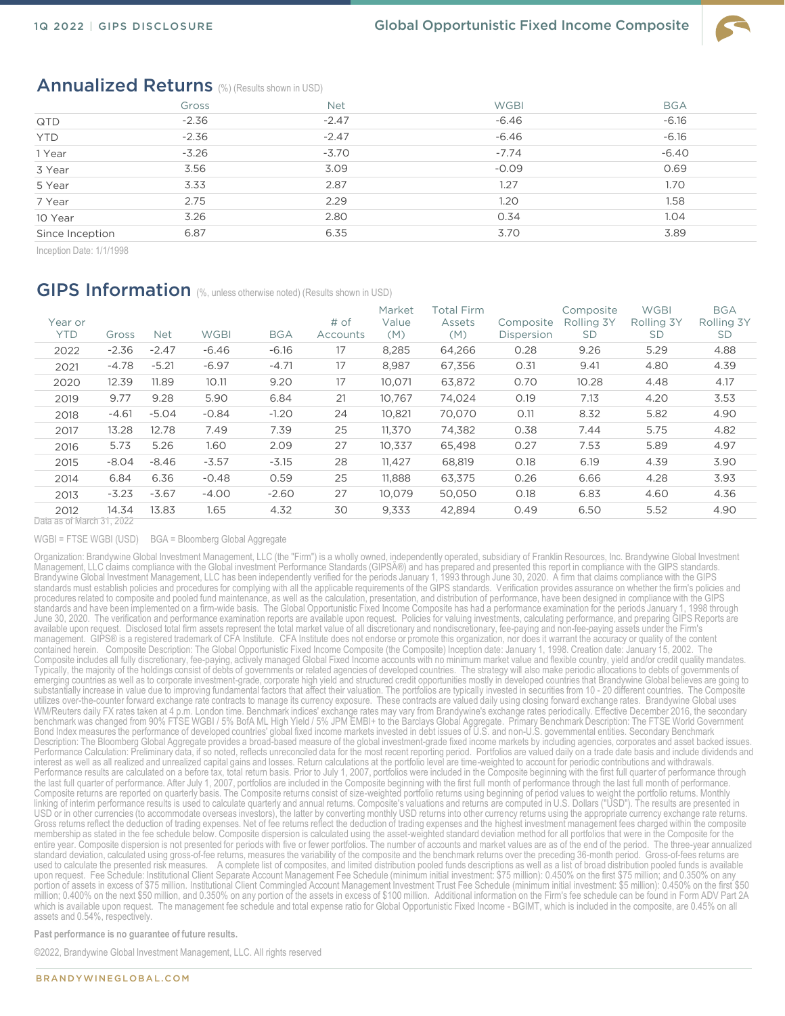

## Annualized Returns (%) (Results shown in USD)

|                 | Gross   | <b>Net</b> | <b>WGBI</b> | <b>BGA</b> |
|-----------------|---------|------------|-------------|------------|
| QTD             | $-2.36$ | $-2.47$    | $-6.46$     | $-6.16$    |
| <b>YTD</b>      | $-2.36$ | $-2.47$    | $-6.46$     | $-6.16$    |
| 1 Year          | $-3.26$ | $-3.70$    | $-7.74$     | $-6.40$    |
| 3 Year          | 3.56    | 3.09       | $-0.09$     | 0.69       |
| 5 Year          | 3.33    | 2.87       | 1.27        | 1.70       |
| 7 Year          | 2.75    | 2.29       | 1.20        | 1.58       |
| 10 Year         | 3.26    | 2.80       | 0.34        | 1.04       |
| Since Inception | 6.87    | 6.35       | 3.70        | 3.89       |

Inception Date: 1/1/1998

## GIPS Information (%, unless otherwise noted) (Results shown in USD)

| Year or<br><b>YTD</b>      | Gross   | <b>Net</b> | <b>WGBI</b> | <b>BGA</b> | # of<br>Accounts | Market<br>Value<br>(M) | Total Firm<br>Assets<br>(M) | Composite<br>Dispersion | Composite<br>Rolling 3Y<br><b>SD</b> | <b>WGBI</b><br>Rolling 3Y<br><b>SD</b> | <b>BGA</b><br>Rolling 3Y<br><b>SD</b> |
|----------------------------|---------|------------|-------------|------------|------------------|------------------------|-----------------------------|-------------------------|--------------------------------------|----------------------------------------|---------------------------------------|
| 2022                       | $-2.36$ | $-2.47$    | $-6.46$     | $-6.16$    | 17               | 8,285                  | 64,266                      | 0.28                    | 9.26                                 | 5.29                                   | 4.88                                  |
| 2021                       | $-4.78$ | $-5.21$    | $-6.97$     | $-4.71$    | 17               | 8,987                  | 67,356                      | 0.31                    | 9.41                                 | 4.80                                   | 4.39                                  |
| 2020                       | 12.39   | 11.89      | 10.11       | 9.20       | 17               | 10,071                 | 63,872                      | 0.70                    | 10.28                                | 4.48                                   | 4.17                                  |
| 2019                       | 9.77    | 9.28       | 5.90        | 6.84       | 21               | 10.767                 | 74,024                      | 0.19                    | 7.13                                 | 4.20                                   | 3.53                                  |
| 2018                       | $-4.61$ | $-5.04$    | $-0.84$     | $-1.20$    | 24               | 10,821                 | 70,070                      | O.11                    | 8.32                                 | 5.82                                   | 4.90                                  |
| 2017                       | 13.28   | 12.78      | 7.49        | 7.39       | 25               | 11.370                 | 74,382                      | 0.38                    | 7.44                                 | 5.75                                   | 4.82                                  |
| 2016                       | 5.73    | 5.26       | 1.60        | 2.09       | 27               | 10.337                 | 65,498                      | 0.27                    | 7.53                                 | 5.89                                   | 4.97                                  |
| 2015                       | $-8.04$ | $-8.46$    | $-3.57$     | $-3.15$    | 28               | 11.427                 | 68,819                      | 0.18                    | 6.19                                 | 4.39                                   | 3.90                                  |
| 2014                       | 6.84    | 6.36       | $-0.48$     | 0.59       | 25               | 11.888                 | 63,375                      | 0.26                    | 6.66                                 | 4.28                                   | 3.93                                  |
| 2013                       | $-3.23$ | $-3.67$    | $-4.00$     | $-2.60$    | 27               | 10.079                 | 50,050                      | 0.18                    | 6.83                                 | 4.60                                   | 4.36                                  |
| 2012                       | 14.34   | 13.83      | 1.65        | 4.32       | 30               | 9,333                  | 42,894                      | 0.49                    | 6.50                                 | 5.52                                   | 4.90                                  |
| ) ata as of March 31, 2022 |         |            |             |            |                  |                        |                             |                         |                                      |                                        |                                       |

WGBI = FTSE WGBI (USD) BGA = Bloomberg Global Aggregate

Organization: Brandywine Global Investment Management, LLC (the "Firm") is a wholly owned, independently operated, subsidiary of Franklin Resources, Inc. Brandywine Global Investment Management, LLC claims compliance with the Global investment Performance Standards (GIPSî) and has prepared and presented this report in compliance with the GIPS standards.<br>Brandywine Global Investment Management, LLC has standards must establish policies and procedures for complying with all the applicable requirements of the GIPS standards. Verification provides assurance on whether the firm's policies and procedures related to composite and pooled fund maintenance, as well as the calculation, presentation, and distribution of performance, have been designed in compliance with the GIPS standards and have been implemented on a firm-wide basis. The Global Opportunistic Fixed Income Composite has had a performance examination for the periods January 1, 1998 through June 30, 2020. The verification and performance examination reports are available upon request. Policies for valuing investments, calculating performance, and preparing GIPS Reports are available upon request. Disclosed total firm assets represent the total market value of all discretionary and nondiscretionary, fee-paying and non-fee-paying assets under the Firm's<br>management. GIPS® is a registered tradem contained herein. Composite Description: The Global Opportunistic Fixed Income Composite (the Composite) Inception date: January 1, 1998. Creation date: January 15, 2002. The Composite includes all fully discretionary, fee-paying, actively managed Global Fixed Income accounts with no minimum market value and flexible country, yield and/or credit quality mandates. Typically, the majority of the holdings consist of debts of governments or related agencies of developed countries. The strategy will also make periodic allocations to debts of governments of emerging countries as well as to corporate investment-grade, corporate high yield and structured credit opportunities mostly in developed countries that Brandywine Global believes are going to substantially increase in value due to improving fundamental factors that affect their valuation. The portfolios are typically invested in securities from 10 - 20 different countries. The Composite utilizes over-the-counter forward exchange rate contracts to manage its currency exposure. These contracts are valued daily using closing forward exchange rates. Brandywine Global uses WM/Reuters daily FX rates taken at 4 p.m. London time. Benchmark indices' exchange rates may vary from Brandywine's exchange rates periodically. Effective December 2016, the secondary benchmark was changed from 90% FTSE WGBI / 5% BofA ML High Yield / 5% JPM EMBI+ to the Barclays Global Aggregate. Primary Benchmark Description: The FTSE World Government<br>Bond Index measures the performance of developed co Description: The Bloomberg Global Aggregate provides a broad-based measure of the global investment-grade fixed income markets by including agencies, corporates and asset backed issues. Performance Calculation: Preliminary data, if so noted, reflects unreconciled data for the most recent reporting period. Portfolios are valued daily on a trade date basis and include dividends and<br>interest as well as all r Performance results are calculated on a before tax, total return basis. Prior to July 1, 2007, portfolios were included in the Composite beginning with the first full quarter of performance through the last full quarter of performance. After July 1, 2007, portfolios are included in the Composite beginning with the first full month of performance through the last full month of performance.<br>Composite returns are report linking of interim performance results is used to calculate quarterly and annual returns. Composite's valuations and returns are computed in U.S. Dollars ("USD"). The results are presented in USD or in other currencies (to accommodate overseas investors), the latter by converting monthly USD returns into other currency returns using the appropriate currency exchange rate returns.<br>Gross returns reflect the deduc membership as stated in the fee schedule below. Composite dispersion is calculated using the asset-weighted standard deviation method for all portfolios that were in the Composite for the entire year. Composite dispersion is not presented for periods with five or fewer portfolios. The number of accounts and market values are as of the end of the period. The three-year annualized<br>standard deviation, calculat used to calculate the presented risk measures. A complete list of composites, and limited distribution pooled funds descriptions as well as a list of broad distribution pooled funds is available upon request. Fee Schedule: Institutional Client Separate Account Management Fee Schedule (minimum initial investment: \$75 million): 0.450% on the first \$75 million; and 0.350% on any<br>portion of assets in excess of \$75 mil million; 0.400% on the next \$50 million, and 0.350% on any portion of the assets in excess of \$100 million. Additional information on the Firm's fee schedule can be found in Form ADV Part 2A which is available upon request. The management fee schedule and total expense ratio for Global Opportunistic Fixed Income - BGIMT, which is included in the composite, are 0.45% on all assets and 0.54%, respectively.

**Past performance is no guarantee of future results.** 

©2022, Brandywine Global Investment Management, LLC. All rights reserved